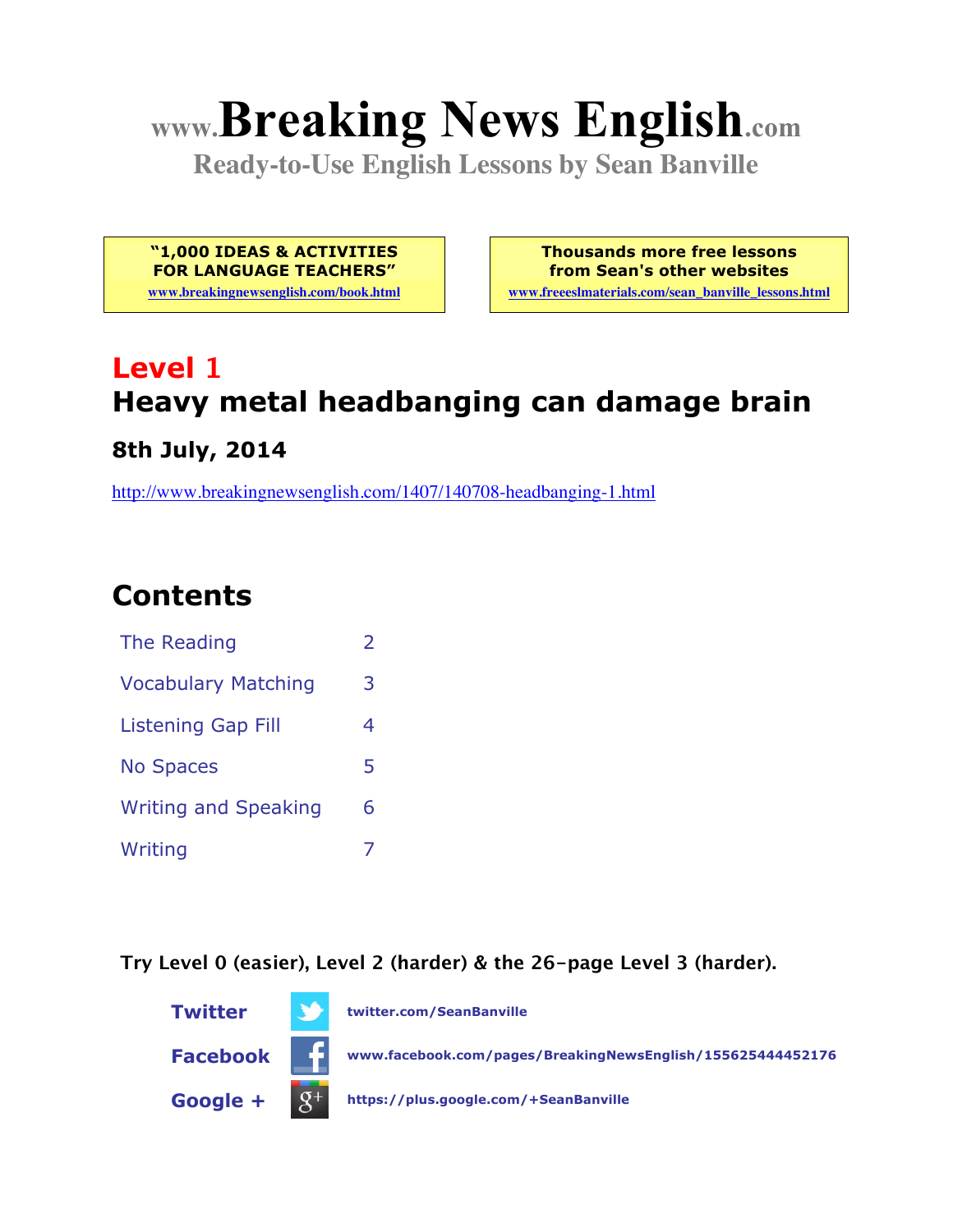# **www.Breaking News English.com**

**Ready-to-Use English Lessons by Sean Banville**

**"1,000 IDEAS & ACTIVITIES FOR LANGUAGE TEACHERS"**

**www.breakingnewsenglish.com/book.html**

**Thousands more free lessons from Sean's other websites www.freeeslmaterials.com/sean\_banville\_lessons.html**

# **Level 1 Heavy metal headbanging can damage brain**

#### **8th July, 2014**

http://www.breakingnewsenglish.com/1407/140708-headbanging-1.html

## **Contents**

| The Reading                 |   |
|-----------------------------|---|
| <b>Vocabulary Matching</b>  | 3 |
| <b>Listening Gap Fill</b>   | 4 |
| <b>No Spaces</b>            | 5 |
| <b>Writing and Speaking</b> | 6 |
| Writing                     |   |

**Try Level 0 (easier), Level 2 (harder) & the 26-page Level 3 (harder).**

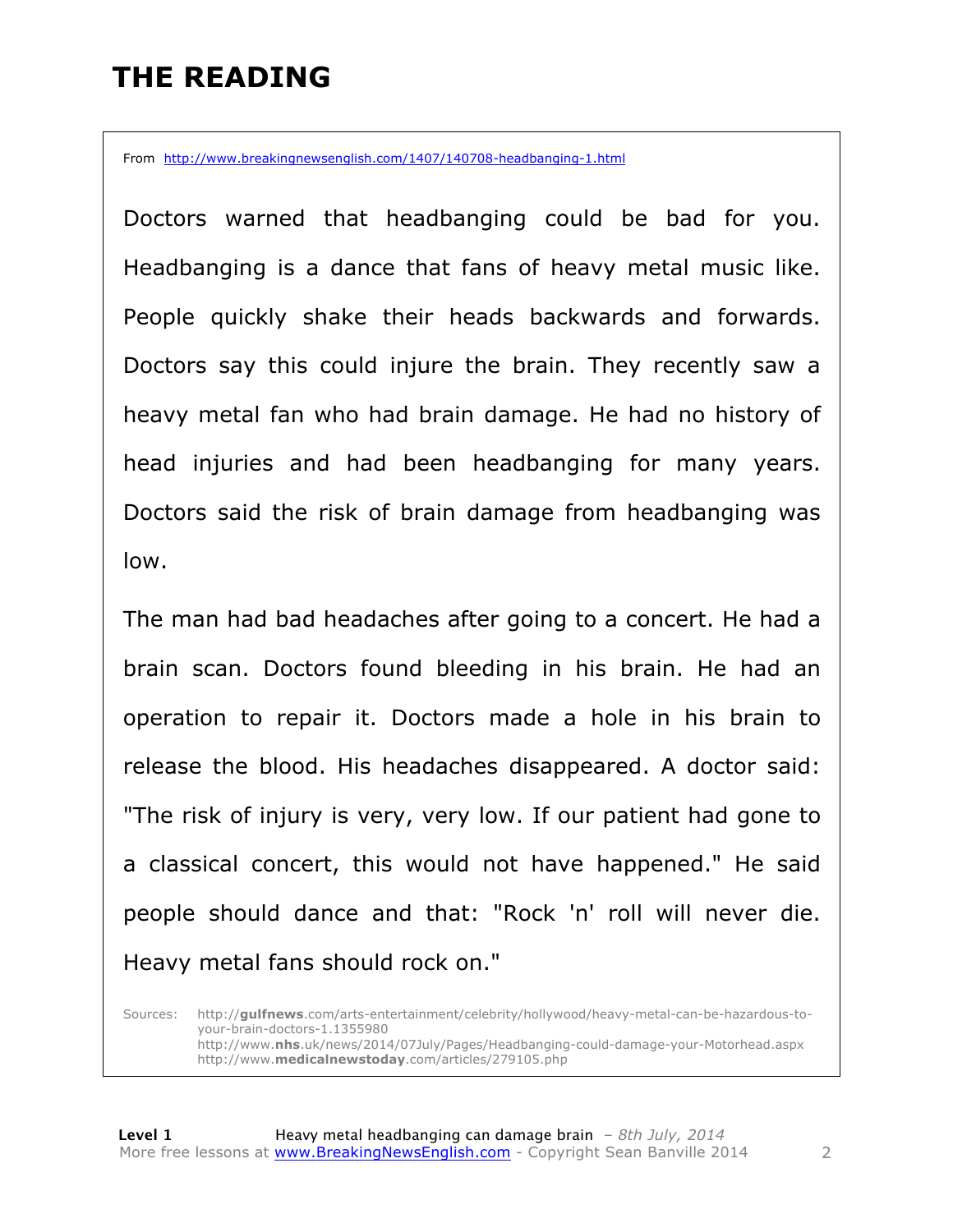### **THE READING**

From http://www.breakingnewsenglish.com/1407/140708-headbanging-1.html

Doctors warned that headbanging could be bad for you. Headbanging is a dance that fans of heavy metal music like. People quickly shake their heads backwards and forwards. Doctors say this could injure the brain. They recently saw a heavy metal fan who had brain damage. He had no history of head injuries and had been headbanging for many years. Doctors said the risk of brain damage from headbanging was low.

The man had bad headaches after going to a concert. He had a brain scan. Doctors found bleeding in his brain. He had an operation to repair it. Doctors made a hole in his brain to release the blood. His headaches disappeared. A doctor said: "The risk of injury is very, very low. If our patient had gone to a classical concert, this would not have happened." He said people should dance and that: "Rock 'n' roll will never die. Heavy metal fans should rock on."

Sources: http://**gulfnews**.com/arts-entertainment/celebrity/hollywood/heavy-metal-can-be-hazardous-toyour-brain-doctors-1.1355980 http://www.**nhs**.uk/news/2014/07July/Pages/Headbanging-could-damage-your-Motorhead.aspx http://www.**medicalnewstoday**.com/articles/279105.php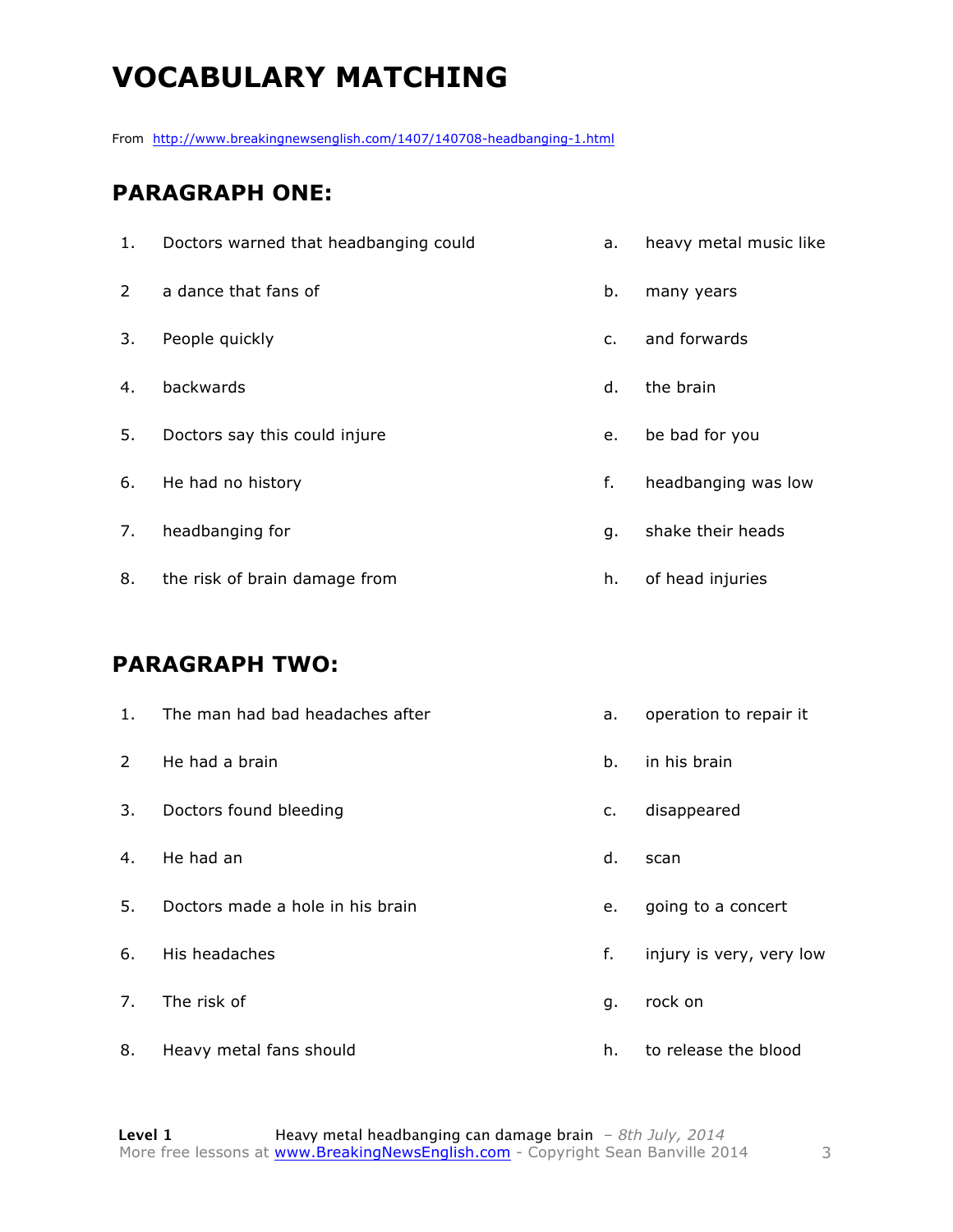# **VOCABULARY MATCHING**

From http://www.breakingnewsenglish.com/1407/140708-headbanging-1.html

#### **PARAGRAPH ONE:**

| 1. | Doctors warned that headbanging could | a. | heavy metal music like |
|----|---------------------------------------|----|------------------------|
| 2  | a dance that fans of                  | b. | many years             |
| 3. | People quickly                        | c. | and forwards           |
| 4. | backwards                             | d. | the brain              |
| 5. | Doctors say this could injure         | e. | be bad for you         |
| 6. | He had no history                     | f. | headbanging was low    |
| 7. | headbanging for                       | g. | shake their heads      |
| 8. | the risk of brain damage from         | h. | of head injuries       |

#### **PARAGRAPH TWO:**

| 1. | The man had bad headaches after  | а. | operation to repair it   |
|----|----------------------------------|----|--------------------------|
| 2  | He had a brain                   | b. | in his brain             |
| 3. | Doctors found bleeding           | c. | disappeared              |
| 4. | He had an                        | d. | scan                     |
| 5. | Doctors made a hole in his brain | е. | going to a concert       |
| 6. | His headaches                    | f. | injury is very, very low |
| 7. | The risk of                      | g. | rock on                  |
| 8. | Heavy metal fans should          | h. | to release the blood     |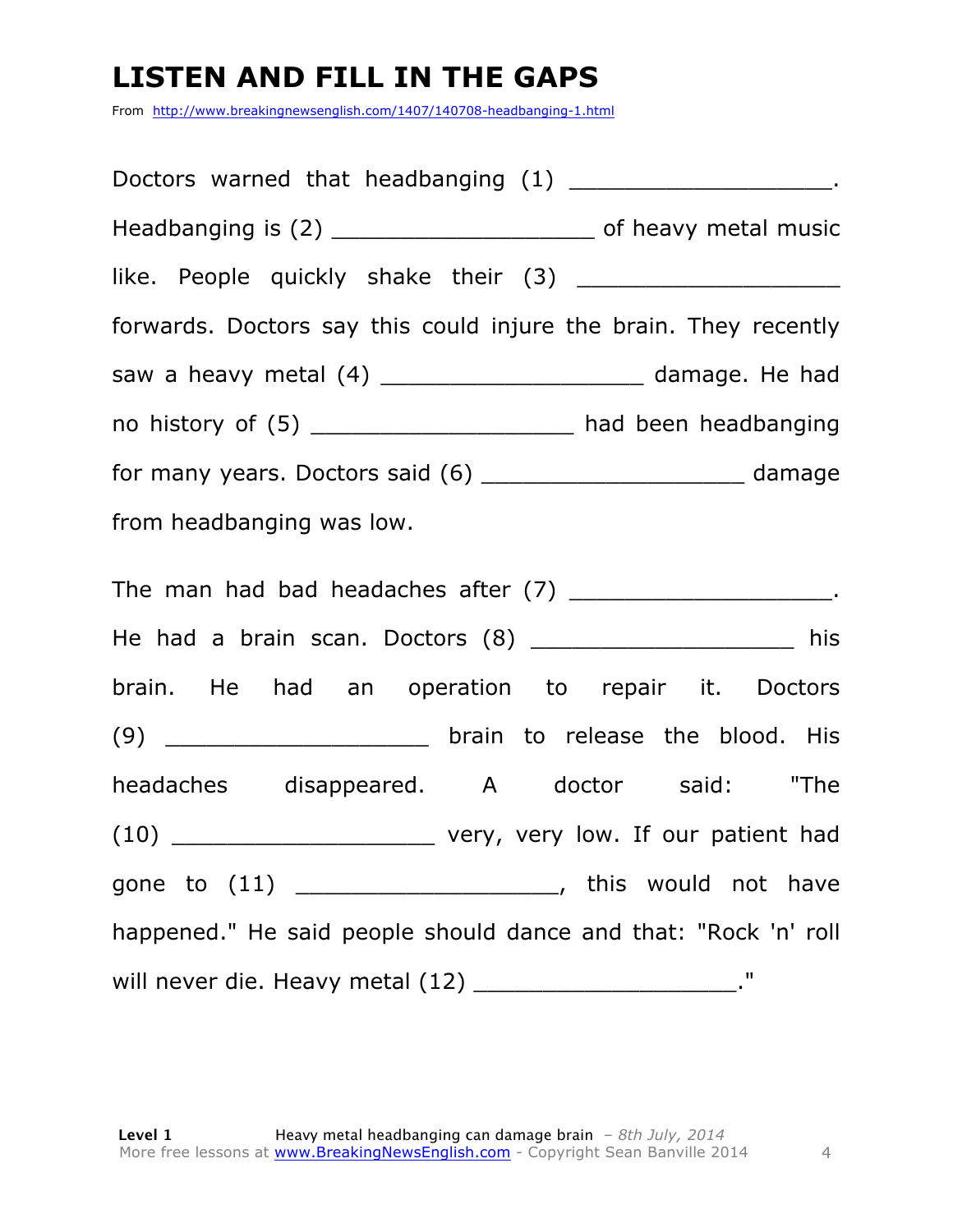### **LISTEN AND FILL IN THE GAPS**

From http://www.breakingnewsenglish.com/1407/140708-headbanging-1.html

| Doctors warned that headbanging (1) ________________________.      |  |  |  |
|--------------------------------------------------------------------|--|--|--|
| Headbanging is (2) __________________________ of heavy metal music |  |  |  |
|                                                                    |  |  |  |
| forwards. Doctors say this could injure the brain. They recently   |  |  |  |
| saw a heavy metal (4) _______________________ damage. He had       |  |  |  |
| no history of (5) ______________________ had been headbanging      |  |  |  |
| for many years. Doctors said (6) ________________________ damage   |  |  |  |
| from headbanging was low.                                          |  |  |  |
| The man had bad headaches after (7) ________________________.      |  |  |  |
| He had a brain scan. Doctors (8) ____________________ his          |  |  |  |
| brain. He had an operation to repair it. Doctors                   |  |  |  |
| (9) _________________________ brain to release the blood. His      |  |  |  |
| headaches disappeared. A doctor said: "The                         |  |  |  |
|                                                                    |  |  |  |
| gone to (11) _________________________, this would not have        |  |  |  |
| happened." He said people should dance and that: "Rock 'n' roll    |  |  |  |
| will never die. Heavy metal (12) _______________________."         |  |  |  |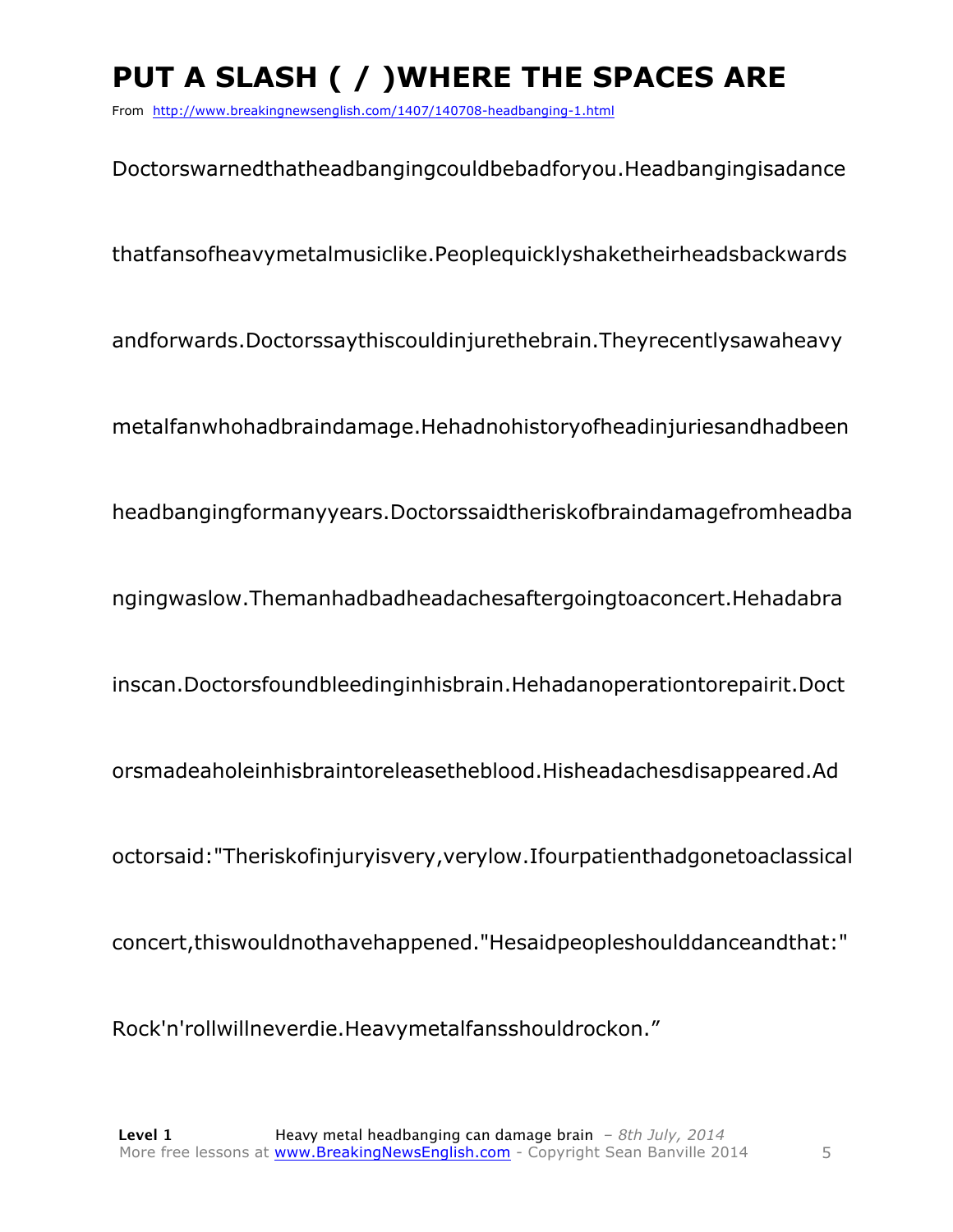# **PUT A SLASH ( / )WHERE THE SPACES ARE**

From http://www.breakingnewsenglish.com/1407/140708-headbanging-1.html

Doctorswarnedthatheadbangingcouldbebadforyou.Headbangingisadance thatfansofheavymetalmusiclike.Peoplequicklyshaketheirheadsbackwards andforwards.Doctorssaythiscouldinjurethebrain.Theyrecentlysawaheavy metalfanwhohadbraindamage.Hehadnohistoryofheadinjuriesandhadbeen headbangingformanyyears.Doctorssaidtheriskofbraindamagefromheadba ngingwaslow.Themanhadbadheadachesaftergoingtoaconcert.Hehadabra inscan.Doctorsfoundbleedinginhisbrain.Hehadanoperationtorepairit.Doct orsmadeaholeinhisbraintoreleasetheblood.Hisheadachesdisappeared.Ad octorsaid:"Theriskofinjuryisvery,verylow.Ifourpatienthadgonetoaclassical concert,thiswouldnothavehappened."Hesaidpeopleshoulddanceandthat:"

Rock'n'rollwillneverdie.Heavymetalfansshouldrockon."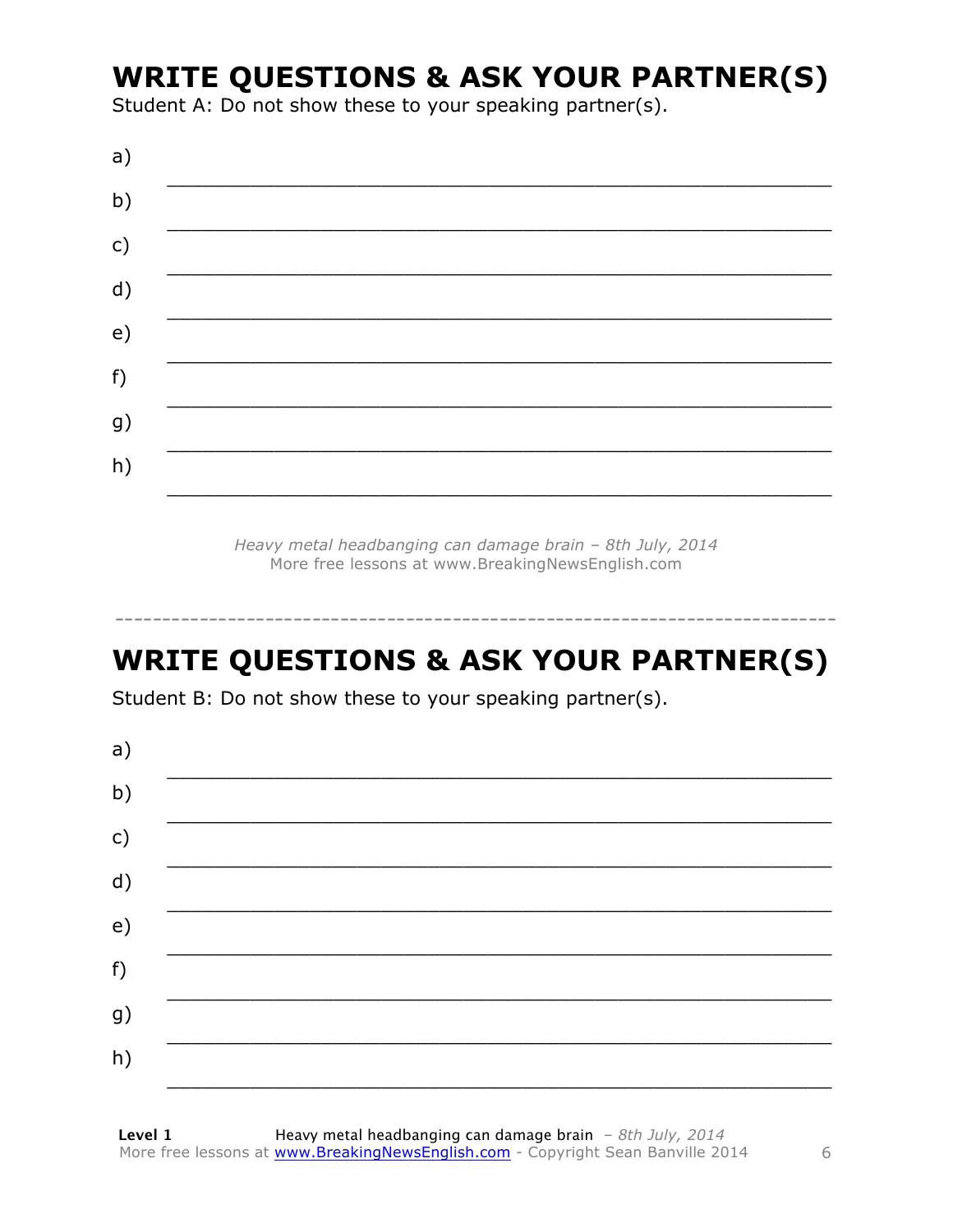### **WRITE QUESTIONS & ASK YOUR PARTNER(S)**

Student A: Do not show these to your speaking partner(s).

Heavy metal headbanging can damage brain - 8th July, 2014 More free lessons at www.BreakingNewsEnglish.com

# **WRITE QUESTIONS & ASK YOUR PARTNER(S)**

Student B: Do not show these to your speaking partner(s).